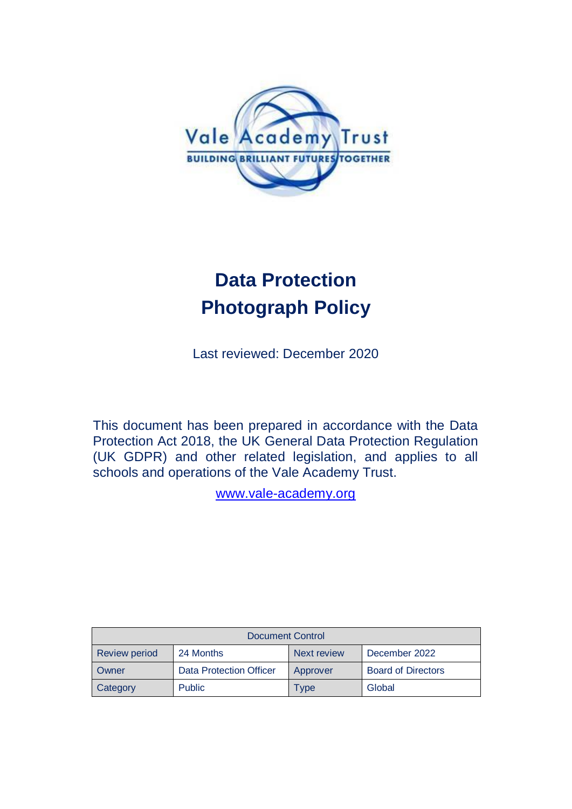

# **Data Protection Photograph Policy**

Last reviewed: December 2020

This document has been prepared in accordance with the Data Protection Act 2018, the UK General Data Protection Regulation (UK GDPR) and other related legislation, and applies to all schools and operations of the Vale Academy Trust.

[www.vale-academy.org](http://www.vale-academy.org/)

| <b>Document Control</b> |                         |             |                           |  |
|-------------------------|-------------------------|-------------|---------------------------|--|
| <b>Review period</b>    | 24 Months               | Next review | December 2022             |  |
| <b>Owner</b>            | Data Protection Officer | Approver    | <b>Board of Directors</b> |  |
| Category                | <b>Public</b>           | Type        | Global                    |  |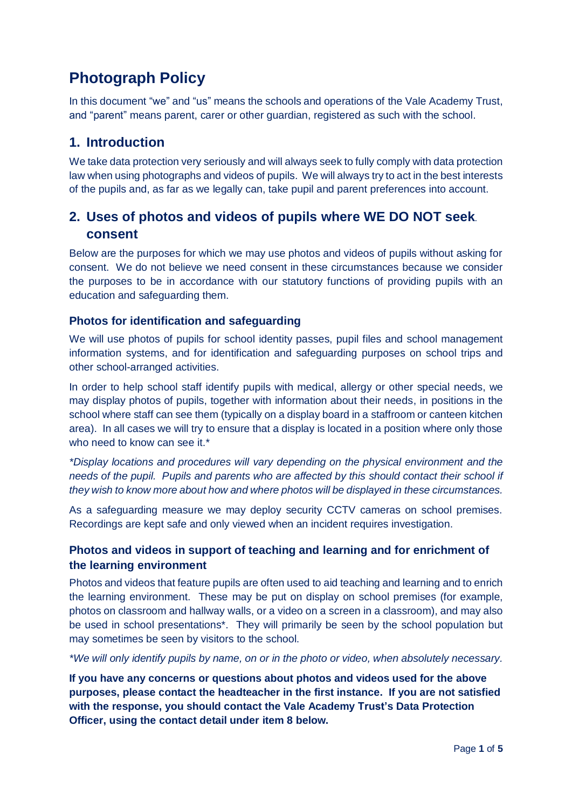# **Photograph Policy**

In this document "we" and "us" means the schools and operations of the Vale Academy Trust, and "parent" means parent, carer or other guardian, registered as such with the school.

## **1. Introduction**

We take data protection very seriously and will always seek to fully comply with data protection law when using photographs and videos of pupils. We will always try to act in the best interests of the pupils and, as far as we legally can, take pupil and parent preferences into account.

# **2. Uses of photos and videos of pupils where WE DO NOT seek. consent**

Below are the purposes for which we may use photos and videos of pupils without asking for consent. We do not believe we need consent in these circumstances because we consider the purposes to be in accordance with our statutory functions of providing pupils with an education and safeguarding them.

#### **Photos for identification and safeguarding**

We will use photos of pupils for school identity passes, pupil files and school management information systems, and for identification and safeguarding purposes on school trips and other school-arranged activities.

In order to help school staff identify pupils with medical, allergy or other special needs, we may display photos of pupils, together with information about their needs, in positions in the school where staff can see them (typically on a display board in a staffroom or canteen kitchen area). In all cases we will try to ensure that a display is located in a position where only those who need to know can see it.\*

*\*Display locations and procedures will vary depending on the physical environment and the needs of the pupil. Pupils and parents who are affected by this should contact their school if they wish to know more about how and where photos will be displayed in these circumstances.*

As a safeguarding measure we may deploy security CCTV cameras on school premises. Recordings are kept safe and only viewed when an incident requires investigation.

#### **Photos and videos in support of teaching and learning and for enrichment of the learning environment**

Photos and videos that feature pupils are often used to aid teaching and learning and to enrich the learning environment. These may be put on display on school premises (for example, photos on classroom and hallway walls, or a video on a screen in a classroom), and may also be used in school presentations\*. They will primarily be seen by the school population but may sometimes be seen by visitors to the school.

*\*We will only identify pupils by name, on or in the photo or video, when absolutely necessary.*

**If you have any concerns or questions about photos and videos used for the above purposes, please contact the headteacher in the first instance. If you are not satisfied with the response, you should contact the Vale Academy Trust's Data Protection Officer, using the contact detail under item 8 below.**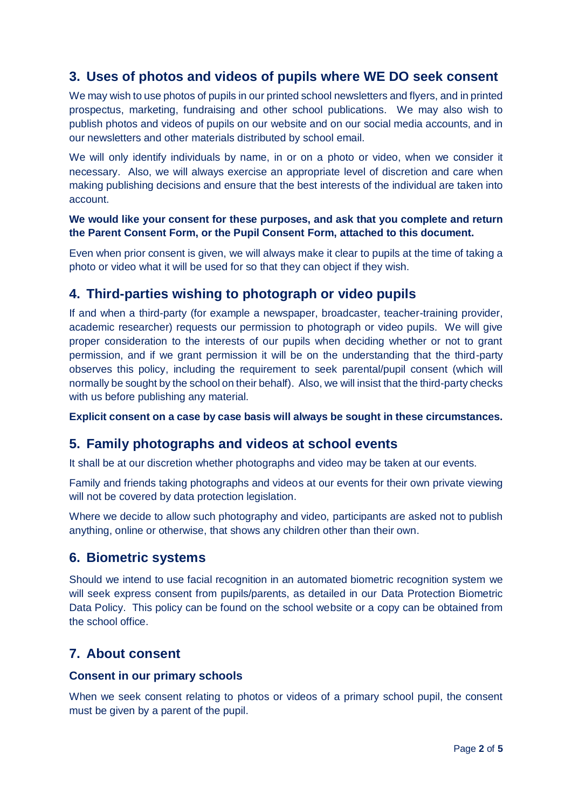# **3. Uses of photos and videos of pupils where WE DO seek consent**

We may wish to use photos of pupils in our printed school newsletters and flyers, and in printed prospectus, marketing, fundraising and other school publications. We may also wish to publish photos and videos of pupils on our website and on our social media accounts, and in our newsletters and other materials distributed by school email.

We will only identify individuals by name, in or on a photo or video, when we consider it necessary. Also, we will always exercise an appropriate level of discretion and care when making publishing decisions and ensure that the best interests of the individual are taken into account.

#### **We would like your consent for these purposes, and ask that you complete and return the Parent Consent Form, or the Pupil Consent Form, attached to this document.**

Even when prior consent is given, we will always make it clear to pupils at the time of taking a photo or video what it will be used for so that they can object if they wish.

### **4. Third-parties wishing to photograph or video pupils**

If and when a third-party (for example a newspaper, broadcaster, teacher-training provider, academic researcher) requests our permission to photograph or video pupils. We will give proper consideration to the interests of our pupils when deciding whether or not to grant permission, and if we grant permission it will be on the understanding that the third-party observes this policy, including the requirement to seek parental/pupil consent (which will normally be sought by the school on their behalf). Also, we will insist that the third-party checks with us before publishing any material.

**Explicit consent on a case by case basis will always be sought in these circumstances.**

### **5. Family photographs and videos at school events**

It shall be at our discretion whether photographs and video may be taken at our events.

Family and friends taking photographs and videos at our events for their own private viewing will not be covered by data protection legislation.

Where we decide to allow such photography and video, participants are asked not to publish anything, online or otherwise, that shows any children other than their own.

#### **6. Biometric systems**

Should we intend to use facial recognition in an automated biometric recognition system we will seek express consent from pupils/parents, as detailed in our Data Protection Biometric Data Policy. This policy can be found on the school website or a copy can be obtained from the school office.

### **7. About consent**

#### **Consent in our primary schools**

When we seek consent relating to photos or videos of a primary school pupil, the consent must be given by a parent of the pupil.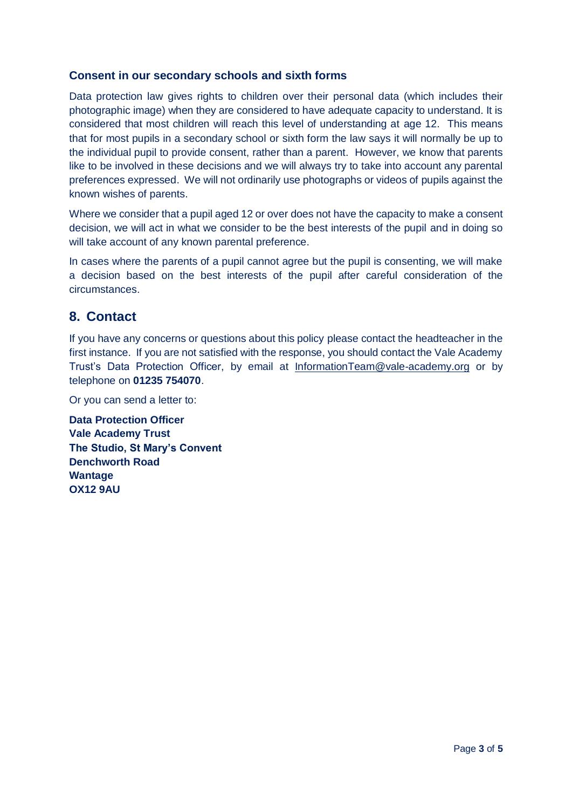#### **Consent in our secondary schools and sixth forms**

Data protection law gives rights to children over their personal data (which includes their photographic image) when they are considered to have adequate capacity to understand. It is considered that most children will reach this level of understanding at age 12. This means that for most pupils in a secondary school or sixth form the law says it will normally be up to the individual pupil to provide consent, rather than a parent. However, we know that parents like to be involved in these decisions and we will always try to take into account any parental preferences expressed. We will not ordinarily use photographs or videos of pupils against the known wishes of parents.

Where we consider that a pupil aged 12 or over does not have the capacity to make a consent decision, we will act in what we consider to be the best interests of the pupil and in doing so will take account of any known parental preference.

In cases where the parents of a pupil cannot agree but the pupil is consenting, we will make a decision based on the best interests of the pupil after careful consideration of the circumstances.

### **8. Contact**

If you have any concerns or questions about this policy please contact the headteacher in the first instance. If you are not satisfied with the response, you should contact the Vale Academy Trust's Data Protection Officer, by email at [InformationTeam@vale-academy.org](mailto:InformationTeam@vale-academy.org) or by telephone on **01235 754070**.

Or you can send a letter to:

**Data Protection Officer Vale Academy Trust The Studio, St Mary's Convent Denchworth Road Wantage OX12 9AU**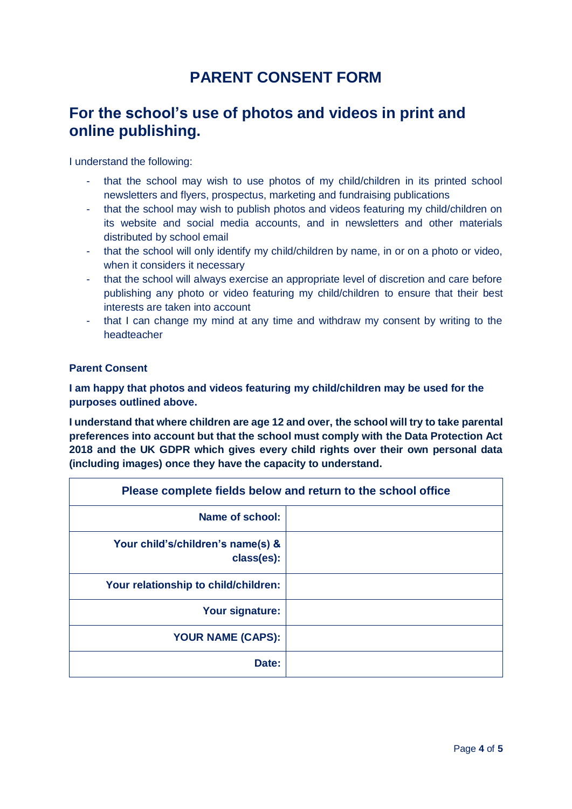# **PARENT CONSENT FORM**

# **For the school's use of photos and videos in print and online publishing.**

I understand the following:

- that the school may wish to use photos of my child/children in its printed school newsletters and flyers, prospectus, marketing and fundraising publications
- that the school may wish to publish photos and videos featuring my child/children on its website and social media accounts, and in newsletters and other materials distributed by school email
- that the school will only identify my child/children by name, in or on a photo or video, when it considers it necessary
- that the school will always exercise an appropriate level of discretion and care before publishing any photo or video featuring my child/children to ensure that their best interests are taken into account
- that I can change my mind at any time and withdraw my consent by writing to the headteacher

#### **Parent Consent**

**I am happy that photos and videos featuring my child/children may be used for the purposes outlined above.**

**I understand that where children are age 12 and over, the school will try to take parental preferences into account but that the school must comply with the Data Protection Act 2018 and the UK GDPR which gives every child rights over their own personal data (including images) once they have the capacity to understand.**

| Please complete fields below and return to the school office |  |  |
|--------------------------------------------------------------|--|--|
| Name of school:                                              |  |  |
| Your child's/children's name(s) &<br>class(es):              |  |  |
| Your relationship to child/children:                         |  |  |
| Your signature:                                              |  |  |
| <b>YOUR NAME (CAPS):</b>                                     |  |  |
| Date:                                                        |  |  |